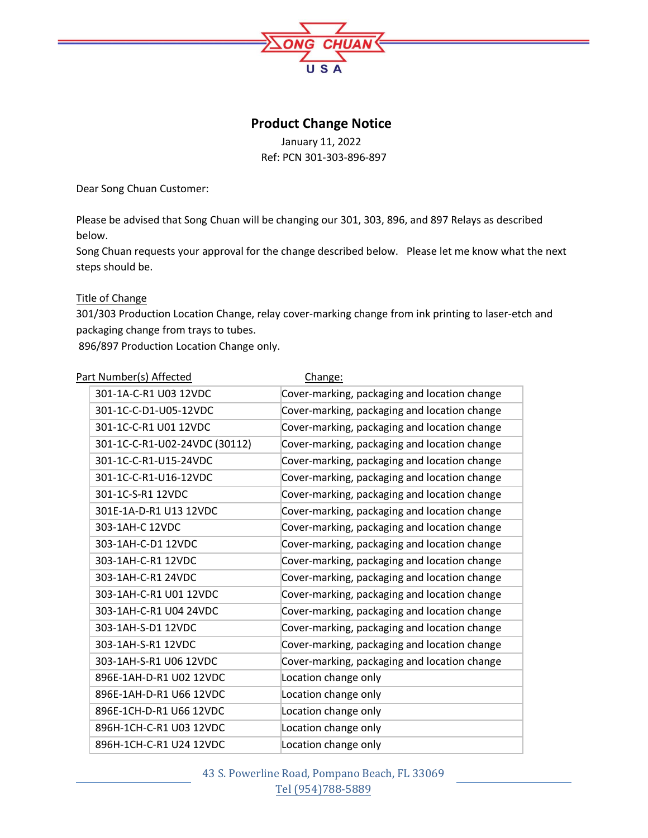

# **Product Change Notice**

January 11, 2022

Ref: PCN 301-303-896-897

Dear Song Chuan Customer:

Please be advised that Song Chuan will be changing our 301, 303, 896, and 897 Relays as described below.

Song Chuan requests your approval for the change described below. Please let me know what the next steps should be.

# Title of Change

301/303 Production Location Change, relay cover-marking change from ink printing to laser-etch and packaging change from trays to tubes.

896/897 Production Location Change only.

| Part Number(s) Affected |                               | Change:                                      |
|-------------------------|-------------------------------|----------------------------------------------|
|                         | 301-1A-C-R1 U03 12VDC         | Cover-marking, packaging and location change |
|                         | 301-1C-C-D1-U05-12VDC         | Cover-marking, packaging and location change |
|                         | 301-1C-C-R1 U01 12VDC         | Cover-marking, packaging and location change |
|                         | 301-1C-C-R1-U02-24VDC (30112) | Cover-marking, packaging and location change |
|                         | 301-1C-C-R1-U15-24VDC         | Cover-marking, packaging and location change |
|                         | 301-1C-C-R1-U16-12VDC         | Cover-marking, packaging and location change |
|                         | 301-1C-S-R1 12VDC             | Cover-marking, packaging and location change |
|                         | 301E-1A-D-R1 U13 12VDC        | Cover-marking, packaging and location change |
|                         | 303-1AH-C 12VDC               | Cover-marking, packaging and location change |
|                         | 303-1AH-C-D1 12VDC            | Cover-marking, packaging and location change |
|                         | 303-1AH-C-R1 12VDC            | Cover-marking, packaging and location change |
|                         | 303-1AH-C-R1 24VDC            | Cover-marking, packaging and location change |
|                         | 303-1AH-C-R1 U01 12VDC        | Cover-marking, packaging and location change |
|                         | 303-1AH-C-R1 U04 24VDC        | Cover-marking, packaging and location change |
|                         | 303-1AH-S-D1 12VDC            | Cover-marking, packaging and location change |
|                         | 303-1AH-S-R1 12VDC            | Cover-marking, packaging and location change |
|                         | 303-1AH-S-R1 U06 12VDC        | Cover-marking, packaging and location change |
|                         | 896E-1AH-D-R1 U02 12VDC       | Location change only                         |
|                         | 896E-1AH-D-R1 U66 12VDC       | Location change only                         |
|                         | 896E-1CH-D-R1 U66 12VDC       | Location change only                         |
|                         | 896H-1CH-C-R1 U03 12VDC       | Location change only                         |
|                         | 896H-1CH-C-R1 U24 12VDC       | Location change only                         |

43 S. Powerline Road, Pompano Beach, FL 33069 Tel (954)788-5889